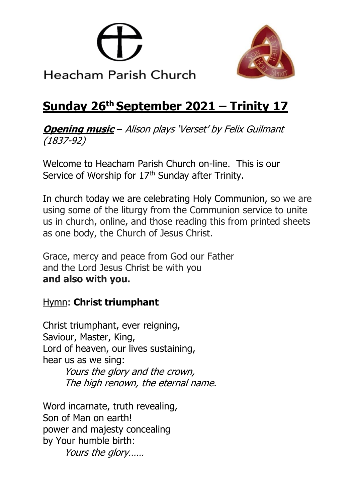



# **Sunday 26th September 2021 – Trinity 17**

**Opening music** – Alison plays 'Verset' by Felix Guilmant (1837-92)

Welcome to Heacham Parish Church on-line. This is our Service of Worship for 17<sup>th</sup> Sunday after Trinity.

In church today we are celebrating Holy Communion, so we are using some of the liturgy from the Communion service to unite us in church, online, and those reading this from printed sheets as one body, the Church of Jesus Christ.

Grace, mercy and peace from God our Father and the Lord Jesus Christ be with you **and also with you.**

## Hymn: **Christ triumphant**

Christ triumphant, ever reigning, Saviour, Master, King, Lord of heaven, our lives sustaining, hear us as we sing: Yours the glory and the crown, The high renown, the eternal name.

Word incarnate, truth revealing, Son of Man on earth! power and majesty concealing by Your humble birth: Yours the glory……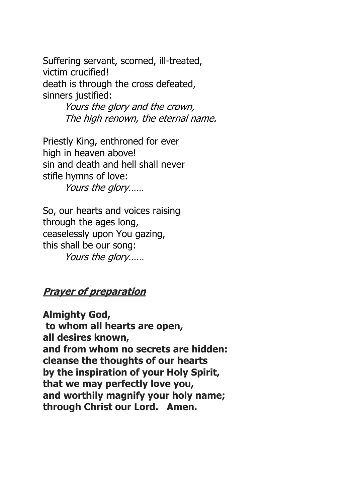Suffering servant, scorned, ill-treated, victim crucified! death is through the cross defeated, sinners justified:

> Yours the glory and the crown, The high renown, the eternal name.

Priestly King, enthroned for ever high in heaven above! sin and death and hell shall never stifle hymns of love: Yours the glory……

So, our hearts and voices raising through the ages long, ceaselessly upon You gazing, this shall be our song: Yours the glory……

#### **Prayer of preparation**

**Almighty God, to whom all hearts are open, all desires known, and from whom no secrets are hidden: cleanse the thoughts of our hearts by the inspiration of your Holy Spirit, that we may perfectly love you, and worthily magnify your holy name; through Christ our Lord. Amen.**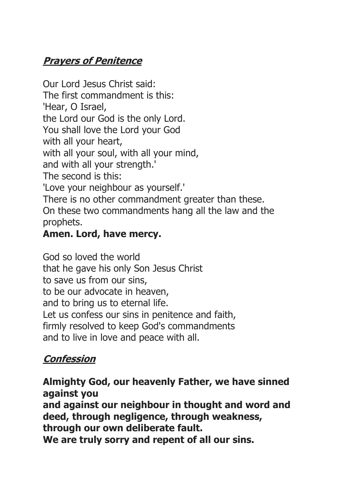# **Prayers of Penitence**

Our Lord Jesus Christ said: The first commandment is this: 'Hear, O Israel, the Lord our God is the only Lord. You shall love the Lord your God with all your heart, with all your soul, with all your mind, and with all your strength.' The second is this: 'Love your neighbour as yourself.' There is no other commandment greater than these. On these two commandments hang all the law and the prophets.

## **Amen. Lord, have mercy.**

God so loved the world that he gave his only Son Jesus Christ to save us from our sins, to be our advocate in heaven, and to bring us to eternal life. Let us confess our sins in penitence and faith, firmly resolved to keep God's commandments and to live in love and peace with all.

# **Confession**

**Almighty God, our heavenly Father, we have sinned against you and against our neighbour in thought and word and deed, through negligence, through weakness, through our own deliberate fault. We are truly sorry and repent of all our sins.**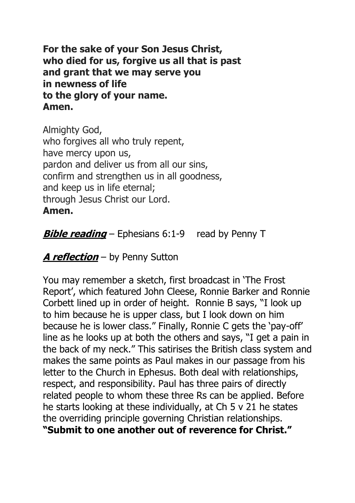**For the sake of your Son Jesus Christ, who died for us, forgive us all that is past and grant that we may serve you in newness of life to the glory of your name. Amen.**

Almighty God, who forgives all who truly repent, have mercy upon us, pardon and deliver us from all our sins, confirm and strengthen us in all goodness, and keep us in life eternal; through Jesus Christ our Lord. **Amen.**

**Bible reading** – Ephesians 6:1-9 read by Penny T

**A reflection** – by Penny Sutton

You may remember a sketch, first broadcast in 'The Frost Report', which featured John Cleese, Ronnie Barker and Ronnie Corbett lined up in order of height. Ronnie B says, "I look up to him because he is upper class, but I look down on him because he is lower class." Finally, Ronnie C gets the 'pay-off' line as he looks up at both the others and says, "I get a pain in the back of my neck." This satirises the British class system and makes the same points as Paul makes in our passage from his letter to the Church in Ephesus. Both deal with relationships, respect, and responsibility. Paul has three pairs of directly related people to whom these three Rs can be applied. Before he starts looking at these individually, at Ch 5 v 21 he states the overriding principle governing Christian relationships.

**"Submit to one another out of reverence for Christ."**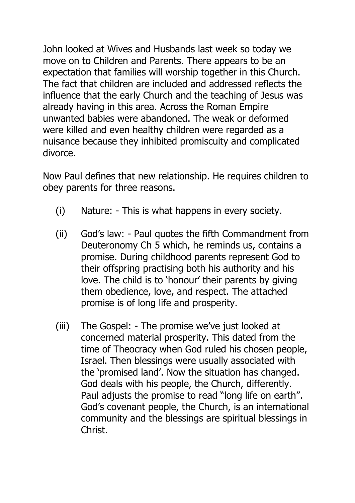John looked at Wives and Husbands last week so today we move on to Children and Parents. There appears to be an expectation that families will worship together in this Church. The fact that children are included and addressed reflects the influence that the early Church and the teaching of Jesus was already having in this area. Across the Roman Empire unwanted babies were abandoned. The weak or deformed were killed and even healthy children were regarded as a nuisance because they inhibited promiscuity and complicated divorce.

Now Paul defines that new relationship. He requires children to obey parents for three reasons.

- (i) Nature: This is what happens in every society.
- (ii) God's law: Paul quotes the fifth Commandment from Deuteronomy Ch 5 which, he reminds us, contains a promise. During childhood parents represent God to their offspring practising both his authority and his love. The child is to 'honour' their parents by giving them obedience, love, and respect. The attached promise is of long life and prosperity.
- (iii) The Gospel: The promise we've just looked at concerned material prosperity. This dated from the time of Theocracy when God ruled his chosen people, Israel. Then blessings were usually associated with the 'promised land'. Now the situation has changed. God deals with his people, the Church, differently. Paul adjusts the promise to read "long life on earth". God's covenant people, the Church, is an international community and the blessings are spiritual blessings in Christ.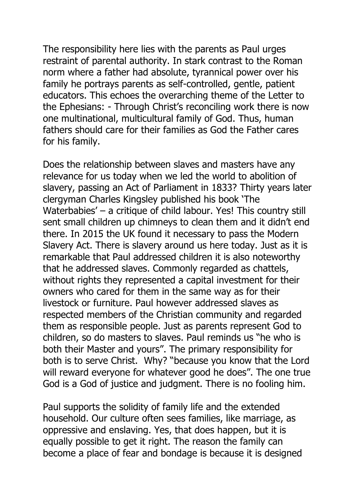The responsibility here lies with the parents as Paul urges restraint of parental authority. In stark contrast to the Roman norm where a father had absolute, tyrannical power over his family he portrays parents as self-controlled, gentle, patient educators. This echoes the overarching theme of the Letter to the Ephesians: - Through Christ's reconciling work there is now one multinational, multicultural family of God. Thus, human fathers should care for their families as God the Father cares for his family.

Does the relationship between slaves and masters have any relevance for us today when we led the world to abolition of slavery, passing an Act of Parliament in 1833? Thirty years later clergyman Charles Kingsley published his book 'The Waterbabies' – a critique of child labour. Yes! This country still sent small children up chimneys to clean them and it didn't end there. In 2015 the UK found it necessary to pass the Modern Slavery Act. There is slavery around us here today. Just as it is remarkable that Paul addressed children it is also noteworthy that he addressed slaves. Commonly regarded as chattels, without rights they represented a capital investment for their owners who cared for them in the same way as for their livestock or furniture. Paul however addressed slaves as respected members of the Christian community and regarded them as responsible people. Just as parents represent God to children, so do masters to slaves. Paul reminds us "he who is both their Master and yours". The primary responsibility for both is to serve Christ. Why? "because you know that the Lord will reward everyone for whatever good he does". The one true God is a God of justice and judgment. There is no fooling him.

Paul supports the solidity of family life and the extended household. Our culture often sees families, like marriage, as oppressive and enslaving. Yes, that does happen, but it is equally possible to get it right. The reason the family can become a place of fear and bondage is because it is designed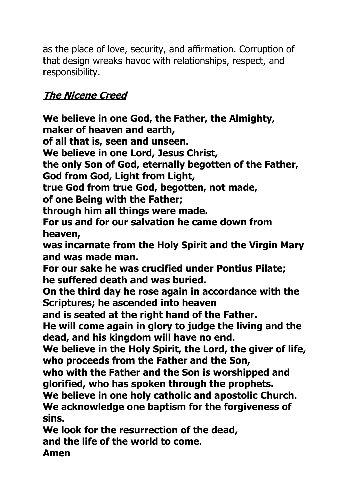as the place of love, security, and affirmation. Corruption of that design wreaks havoc with relationships, respect, and responsibility.

## **The Nicene Creed**

**We believe in one God, the Father, the Almighty, maker of heaven and earth, of all that is, seen and unseen. We believe in one Lord, Jesus Christ, the only Son of God, eternally begotten of the Father, God from God, Light from Light, true God from true God, begotten, not made, of one Being with the Father; through him all things were made. For us and for our salvation he came down from heaven, was incarnate from the Holy Spirit and the Virgin Mary and was made man. For our sake he was crucified under Pontius Pilate; he suffered death and was buried. On the third day he rose again in accordance with the Scriptures; he ascended into heaven and is seated at the right hand of the Father. He will come again in glory to judge the living and the dead, and his kingdom will have no end. We believe in the Holy Spirit, the Lord, the giver of life, who proceeds from the Father and the Son, who with the Father and the Son is worshipped and glorified, who has spoken through the prophets. We believe in one holy catholic and apostolic Church. We acknowledge one baptism for the forgiveness of sins. We look for the resurrection of the dead,** 

**and the life of the world to come.**

**Amen**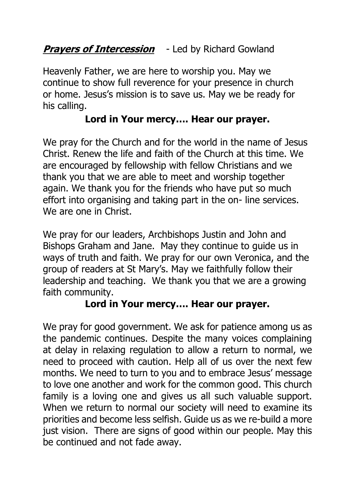## **Prayers of Intercession** - Led by Richard Gowland

Heavenly Father, we are here to worship you. May we continue to show full reverence for your presence in church or home. Jesus's mission is to save us. May we be ready for his calling.

#### **Lord in Your mercy…. Hear our prayer.**

We pray for the Church and for the world in the name of Jesus Christ. Renew the life and faith of the Church at this time. We are encouraged by fellowship with fellow Christians and we thank you that we are able to meet and worship together again. We thank you for the friends who have put so much effort into organising and taking part in the on- line services. We are one in Christ.

We pray for our leaders, Archbishops Justin and John and Bishops Graham and Jane. May they continue to guide us in ways of truth and faith. We pray for our own Veronica, and the group of readers at St Mary's. May we faithfully follow their leadership and teaching. We thank you that we are a growing faith community.

#### **Lord in Your mercy…. Hear our prayer.**

We pray for good government. We ask for patience among us as the pandemic continues. Despite the many voices complaining at delay in relaxing regulation to allow a return to normal, we need to proceed with caution. Help all of us over the next few months. We need to turn to you and to embrace Jesus' message to love one another and work for the common good. This church family is a loving one and gives us all such valuable support. When we return to normal our society will need to examine its priorities and become less selfish. Guide us as we re-build a more just vision. There are signs of good within our people. May this be continued and not fade away.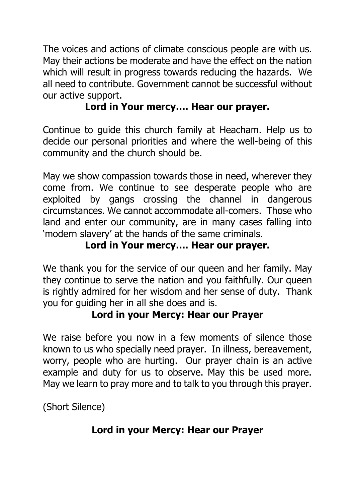The voices and actions of climate conscious people are with us. May their actions be moderate and have the effect on the nation which will result in progress towards reducing the hazards. We all need to contribute. Government cannot be successful without our active support.

## **Lord in Your mercy…. Hear our prayer.**

Continue to guide this church family at Heacham. Help us to decide our personal priorities and where the well-being of this community and the church should be.

May we show compassion towards those in need, wherever they come from. We continue to see desperate people who are exploited by gangs crossing the channel in dangerous circumstances. We cannot accommodate all-comers. Those who land and enter our community, are in many cases falling into 'modern slavery' at the hands of the same criminals.

## **Lord in Your mercy…. Hear our prayer.**

We thank you for the service of our queen and her family. May they continue to serve the nation and you faithfully. Our queen is rightly admired for her wisdom and her sense of duty. Thank you for guiding her in all she does and is.

#### **Lord in your Mercy: Hear our Prayer**

We raise before you now in a few moments of silence those known to us who specially need prayer. In illness, bereavement, worry, people who are hurting. Our prayer chain is an active example and duty for us to observe. May this be used more. May we learn to pray more and to talk to you through this prayer.

(Short Silence)

## **Lord in your Mercy: Hear our Prayer**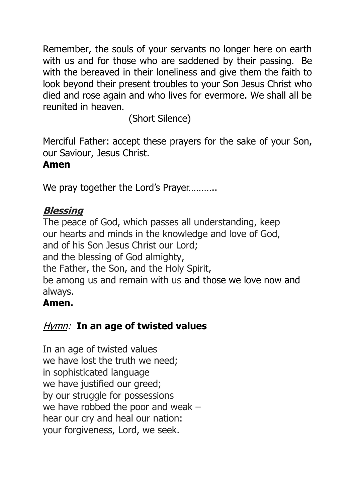Remember, the souls of your servants no longer here on earth with us and for those who are saddened by their passing. Be with the bereaved in their loneliness and give them the faith to look beyond their present troubles to your Son Jesus Christ who died and rose again and who lives for evermore. We shall all be reunited in heaven.

(Short Silence)

Merciful Father: accept these prayers for the sake of your Son, our Saviour, Jesus Christ.

#### **Amen**

We pray together the Lord's Prayer..........

## **Blessing**

The peace of God, which passes all understanding, keep our hearts and minds in the knowledge and love of God, and of his Son Jesus Christ our Lord; and the blessing of God almighty, the Father, the Son, and the Holy Spirit, be among us and remain with us and those we love now and always.

# **Amen.**

# Hymn: **In an age of twisted values**

In an age of twisted values we have lost the truth we need; in sophisticated language we have justified our greed; by our struggle for possessions we have robbed the poor and weak – hear our cry and heal our nation: your forgiveness, Lord, we seek.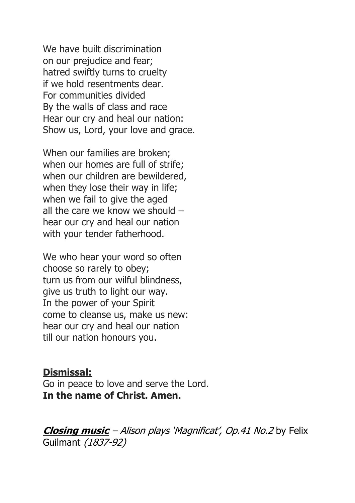We have built discrimination on our prejudice and fear; hatred swiftly turns to cruelty if we hold resentments dear. For communities divided By the walls of class and race Hear our cry and heal our nation: Show us, Lord, your love and grace.

When our families are broken; when our homes are full of strife; when our children are bewildered, when they lose their way in life; when we fail to give the aged all the care we know we should – hear our cry and heal our nation with your tender fatherhood.

We who hear your word so often choose so rarely to obey; turn us from our wilful blindness, give us truth to light our way. In the power of your Spirit come to cleanse us, make us new: hear our cry and heal our nation till our nation honours you.

#### **Dismissal:**

Go in peace to love and serve the Lord. **In the name of Christ. Amen.**

**Closing music** – Alison plays 'Magnificat', Op.41 No.2 by Felix Guilmant (1837-92)